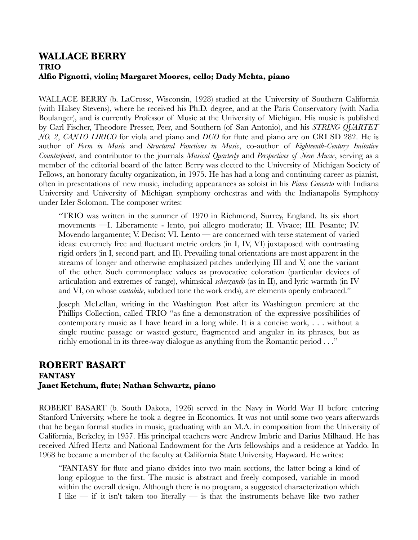## **WALLACE BERRY TRIO Alfio Pignotti, violin; Margaret Moores, cello; Dady Mehta, piano**

WALLACE BERRY (b. LaCrosse, Wisconsin, 1928) studied at the University of Southern California (with Halsey Stevens), where he received his Ph.D. degree, and at the Paris Conservatory (with Nadia Boulanger), and is currently Professor of Music at the University of Michigan. His music is published by Carl Fischer, Theodore Presser, Peer, and Southern (of San Antonio), and his *STRING QUARTET NO. 2*, *CANTO LIRICO* for viola and piano and *DUO* for flute and piano are on CRI SD 282. He is author of *Form in Music* and *Structural Functions in Music*, co-author of *Eighteenth-Century Imitative Counterpoint*, and contributor to the journals *Musical Quarterly* and *Perspectives of New Music*, serving as a member of the editorial board of the latter. Berry was elected to the University of Michigan Society of Fellows, an honorary faculty organization, in 1975. He has had a long and continuing career as pianist, often in presentations of new music, including appearances as soloist in his *Piano Concerto* with Indiana University and University of Michigan symphony orchestras and with the Indianapolis Symphony under Izler Solomon. The composer writes:

"TRIO was written in the summer of 1970 in Richmond, Surrey, England. Its six short movements —I. Liberamente - lento, poi allegro moderato; II. Vivace; III. Pesante; IV. Movendo largamente; V. Deciso; VI. Lento — are concerned with terse statement of varied ideas: extremely free and fluctuant metric orders (in I, IV, VI) juxtaposed with contrasting rigid orders (in I, second part, and II). Prevailing tonal orientations are most apparent in the streams of longer and otherwise emphasized pitches underlying III and V, one the variant of the other. Such commonplace values as provocative coloration (particular devices of articulation and extremes of range), whimsical *scherzando* (as in II), and lyric warmth (in IV and VI, on whose *cantabile*, subdued tone the work ends), are elements openly embraced."

Joseph McLellan, writing in the Washington Post after its Washington premiere at the Phillips Collection, called TRIO "as fine a demonstration of the expressive possibilities of contemporary music as I have heard in a long while. It is a concise work, . . . without a single routine passage or wasted gesture, fragmented and angular in its phrases, but as richly emotional in its three-way dialogue as anything from the Romantic period . . ."

## **ROBERT BASART FANTASY Janet Ketchum, flute; Nathan Schwartz, piano**

ROBERT BASART (b. South Dakota, 1926) served in the Navy in World War II before entering Stanford University, where he took a degree in Economics. It was not until some two years afterwards that he began formal studies in music, graduating with an M.A. in composition from the University of California, Berkeley, in 1957. His principal teachers were Andrew Imbrie and Darius Milhaud. He has received Alfred Hertz and National Endowment for the Arts fellowships and a residence at Yaddo. In 1968 he became a member of the faculty at California State University, Hayward. He writes:

"FANTASY for flute and piano divides into two main sections, the latter being a kind of long epilogue to the first. The music is abstract and freely composed, variable in mood within the overall design. Although there is no program, a suggested characterization which I like  $-$  if it isn't taken too literally  $-$  is that the instruments behave like two rather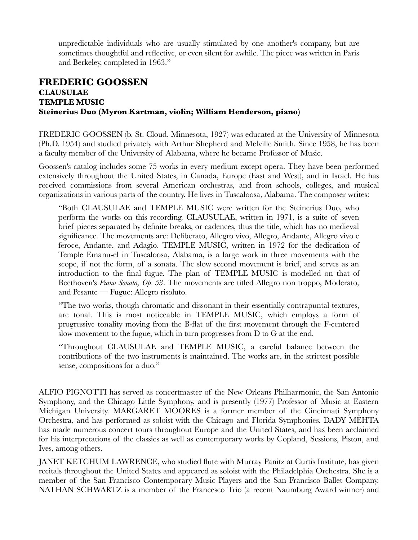unpredictable individuals who are usually stimulated by one another's company, but are sometimes thoughtful and reflective, or even silent for awhile. The piece was written in Paris and Berkeley, completed in 1963."

## **FREDERIC GOOSSEN CLAUSULAE TEMPLE MUSIC Steinerius Duo (Myron Kartman, violin; William Henderson, piano)**

FREDERIC GOOSSEN (b. St. Cloud, Minnesota, 1927) was educated at the University of Minnesota (Ph.D. 1954) and studied privately with Arthur Shepherd and Melville Smith. Since 1958, he has been a faculty member of the University of Alabama, where he became Professor of Music.

Goossen's catalog includes some 75 works in every medium except opera. They have been performed extensively throughout the United States, in Canada, Europe (East and West), and in Israel. He has received commissions from several American orchestras, and from schools, colleges, and musical organizations in various parts of the country. He lives in Tuscaloosa, Alabama. The composer writes:

"Both CLAUSULAE and TEMPLE MUSIC were written for the Steinerius Duo, who perform the works on this recording. CLAUSULAE, written in 1971, is a suite of seven brief pieces separated by definite breaks, or cadences, thus the title, which has no medieval significance. The movements are: Deliberato, Allegro vivo, Allegro, Andante, Allegro vivo e feroce, Andante, and Adagio. TEMPLE MUSIC, written in 1972 for the dedication of Temple Emanu-el in Tuscaloosa, Alabama, is a large work in three movements with the scope, if not the form, of a sonata. The slow second movement is brief, and serves as an introduction to the final fugue. The plan of TEMPLE MUSIC is modelled on that of Beethoven's *Piano Sonata, Op. 53*. The movements are titled Allegro non troppo, Moderato, and Pesante — Fugue: Allegro risoluto.

"The two works, though chromatic and dissonant in their essentially contrapuntal textures, are tonal. This is most noticeable in TEMPLE MUSIC, which employs a form of progressive tonality moving from the B-flat of the first movement through the F-centered slow movement to the fugue, which in turn progresses from D to G at the end.

"Throughout CLAUSULAE and TEMPLE MUSIC, a careful balance between the contributions of the two instruments is maintained. The works are, in the strictest possible sense, compositions for a duo."

ALFIO PIGNOTTI has served as concertmaster of the New Orleans Philharmonic, the San Antonio Symphony, and the Chicago Little Symphony, and is presently (1977) Professor of Music at Eastern Michigan University. MARGARET MOORES is a former member of the Cincinnati Symphony Orchestra, and has performed as soloist with the Chicago and Florida Symphonies. DADY MEHTA has made numerous concert tours throughout Europe and the United States, and has been acclaimed for his interpretations of the classics as well as contemporary works by Copland, Sessions, Piston, and Ives, among others.

JANET KETCHUM LAWRENCE, who studied flute with Murray Panitz at Curtis Institute, has given recitals throughout the United States and appeared as soloist with the Philadelphia Orchestra. She is a member of the San Francisco Contemporary Music Players and the San Francisco Ballet Company. NATHAN SCHWARTZ is a member of the Francesco Trio (a recent Naumburg Award winner) and